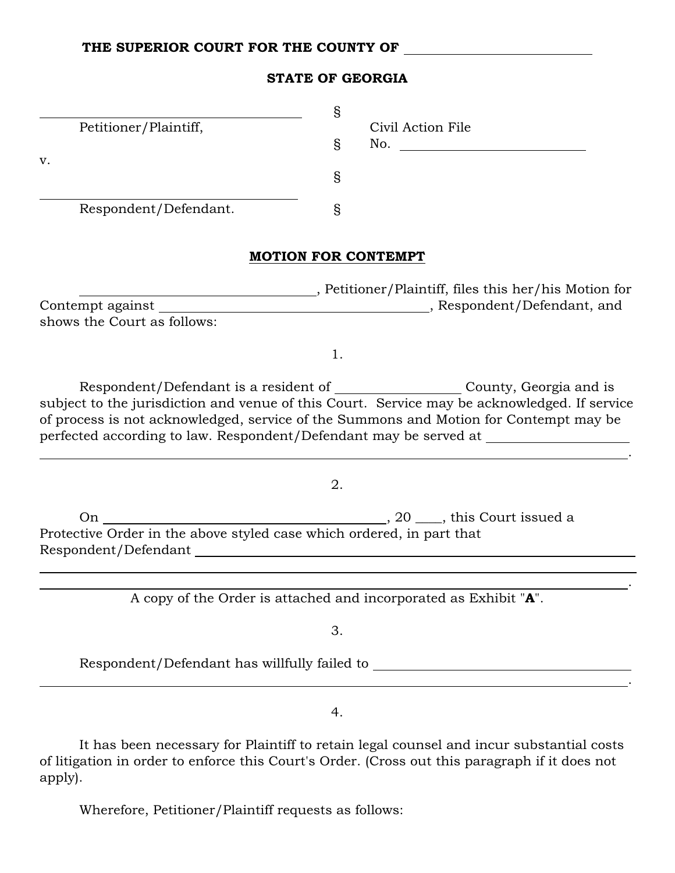#### THE SUPERIOR COURT FOR THE COUNTY OF

| <b>STATE OF GEORGIA</b> |  |  |  |
|-------------------------|--|--|--|
|-------------------------|--|--|--|

| V. | Petitioner/Plaintiff, | S<br>Ş | Civil Action File<br>No. |
|----|-----------------------|--------|--------------------------|
|    |                       | ş      |                          |
|    | Respondent/Defendant. |        |                          |

#### MOTION FOR CONTEMPT

 , Petitioner/Plaintiff, files this her/his Motion for Contempt against , Respondent/Defendant, and shows the Court as follows:

1.

Respondent/Defendant is a resident of \_\_\_\_\_\_\_\_\_\_\_\_\_\_\_\_\_\_\_\_County, Georgia and is subject to the jurisdiction and venue of this Court. Service may be acknowledged. If service of process is not acknowledged, service of the Summons and Motion for Contempt may be perfected according to law. Respondent/Defendant may be served at

<u>. Andre de la contrada de la contrada de la contrada de la contrada de la contrada de la contrada de la contra</u>

2.

On , 20 \_\_\_\_, this Court issued a Protective Order in the above styled case which ordered, in part that Respondent/Defendant

<u>. Andre de la contrada de la contrada de la contrada de la contrada de la contrada de la contrada de la contra</u> A copy of the Order is attached and incorporated as Exhibit "A".

3.

Respondent/Defendant has willfully failed to

 $\overline{a}$ 

4.

It has been necessary for Plaintiff to retain legal counsel and incur substantial costs of litigation in order to enforce this Court's Order. (Cross out this paragraph if it does not apply).

Wherefore, Petitioner/Plaintiff requests as follows: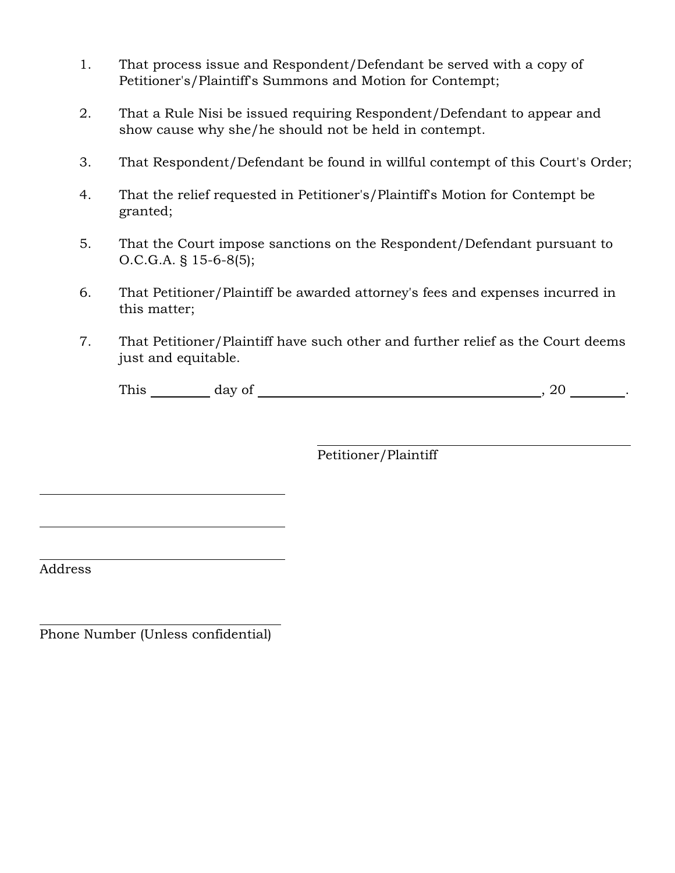- 1. That process issue and Respondent/Defendant be served with a copy of Petitioner's/Plaintiff's Summons and Motion for Contempt;
- 2. That a Rule Nisi be issued requiring Respondent/Defendant to appear and show cause why she/he should not be held in contempt.
- 3. That Respondent/Defendant be found in willful contempt of this Court's Order;
- 4. That the relief requested in Petitioner's/Plaintiff's Motion for Contempt be granted;
- 5. That the Court impose sanctions on the Respondent/Defendant pursuant to O.C.G.A. § 15-6-8(5);
- 6. That Petitioner/Plaintiff be awarded attorney's fees and expenses incurred in this matter;
- 7. That Petitioner/Plaintiff have such other and further relief as the Court deems just and equitable.

| $T^{11}$<br>$-1 - -1$<br>1 1118 | ستقل<br>$\ddot{\phantom{0}}$ |  |
|---------------------------------|------------------------------|--|
|                                 |                              |  |

 $\overline{a}$ Petitioner/Plaintiff

Address

 $\overline{a}$ 

 $\overline{a}$ 

l

 $\overline{a}$ 

Phone Number (Unless confidential)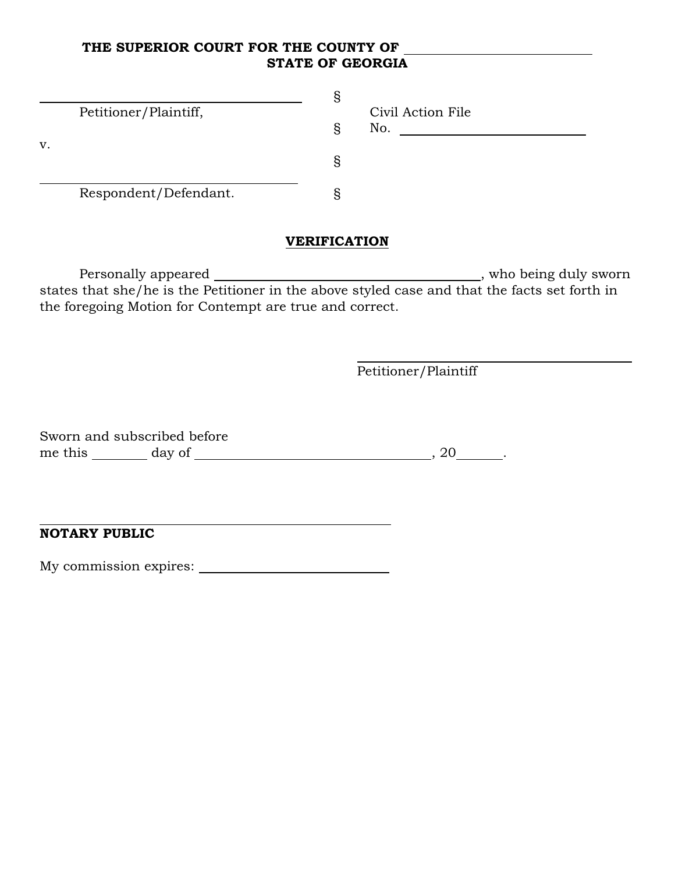## THE SUPERIOR COURT FOR THE COUNTY OF STATE OF GEORGIA

| V. | Petitioner/Plaintiff, | S<br>S<br>S | Civil Action File<br>No. |
|----|-----------------------|-------------|--------------------------|
|    | Respondent/Defendant. |             |                          |

# **VERIFICATION**

Personally appeared , who being duly sworn states that she/he is the Petitioner in the above styled case and that the facts set forth in the foregoing Motion for Contempt are true and correct.

l

Petitioner/Plaintiff

Sworn and subscribed before me this day of , 20 .

NOTARY PUBLIC

 $\overline{a}$ 

My commission expires: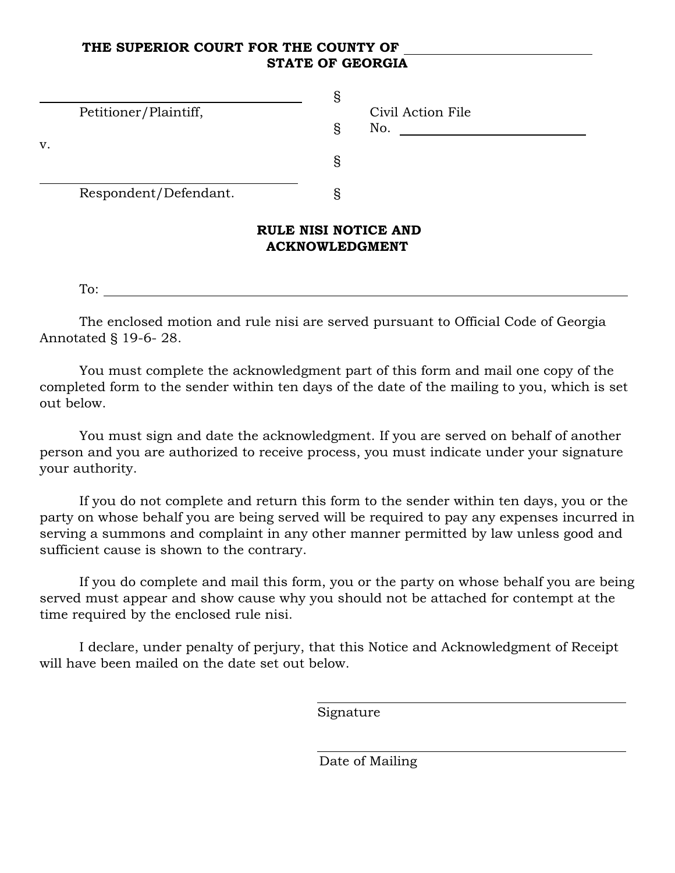## THE SUPERIOR COURT FOR THE COUNTY OF STATE OF GEORGIA

# ACKNOWLEDGMENT

To:

The enclosed motion and rule nisi are served pursuant to Official Code of Georgia Annotated § 19-6- 28.

You must complete the acknowledgment part of this form and mail one copy of the completed form to the sender within ten days of the date of the mailing to you, which is set out below.

You must sign and date the acknowledgment. If you are served on behalf of another person and you are authorized to receive process, you must indicate under your signature your authority.

If you do not complete and return this form to the sender within ten days, you or the party on whose behalf you are being served will be required to pay any expenses incurred in serving a summons and complaint in any other manner permitted by law unless good and sufficient cause is shown to the contrary.

If you do complete and mail this form, you or the party on whose behalf you are being served must appear and show cause why you should not be attached for contempt at the time required by the enclosed rule nisi.

I declare, under penalty of perjury, that this Notice and Acknowledgment of Receipt will have been mailed on the date set out below.

 $\overline{a}$ 

 $\overline{a}$ 

Signature

Date of Mailing